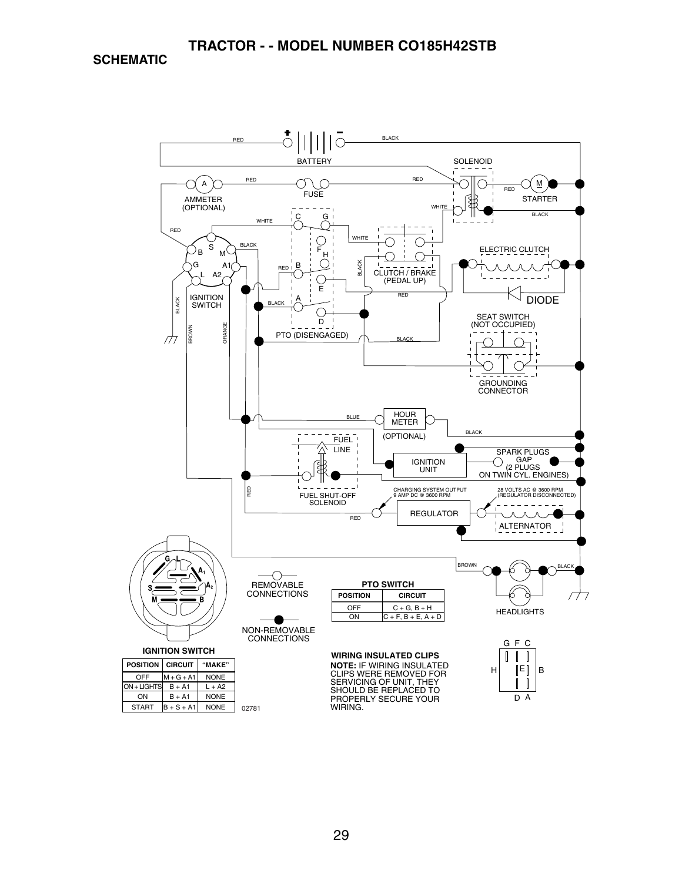**SCHEMATIC**

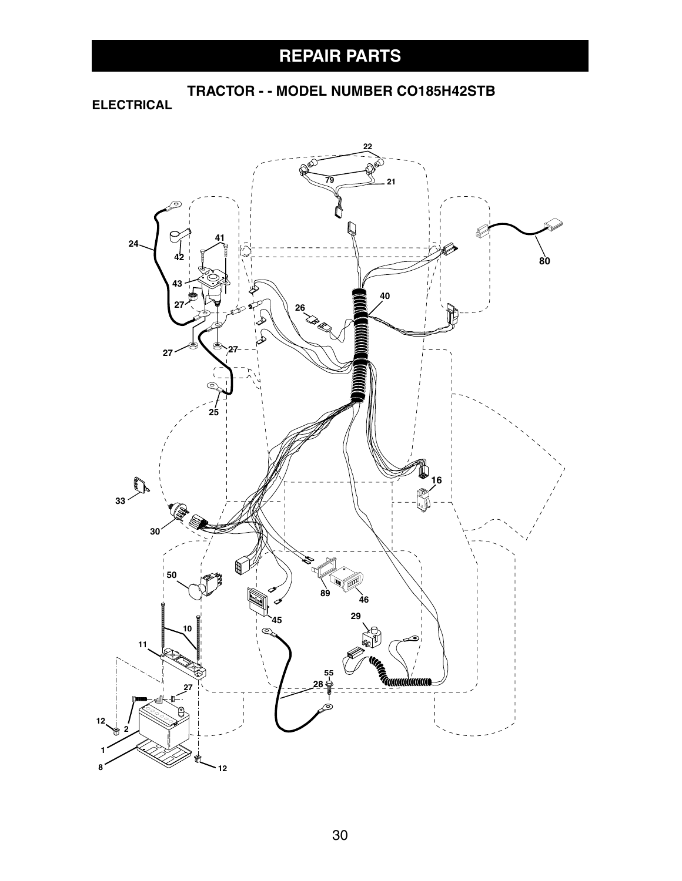**TRACTOR - - MODEL NUMBER CO185H42STB**

**ELECTRICAL**

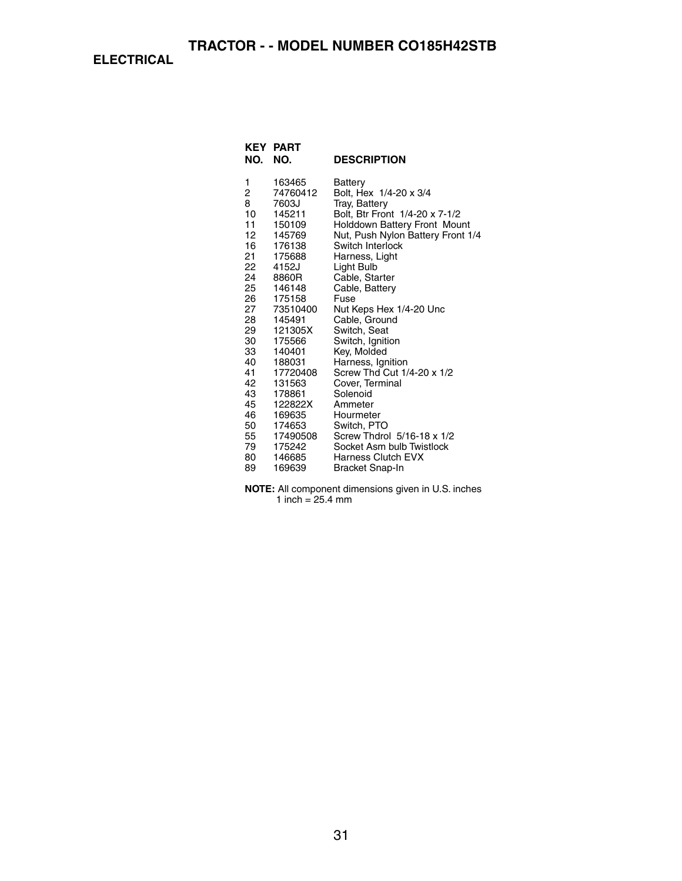**ELECTRICAL**

| NO.                                                                                                                                                         | <b>KEY PART</b><br>NO.                                                                                                                                                                                                                                                            | <b>DESCRIPTION</b>                                                                                                                                                                                                                                                                                                                                                                                                                                                                                                                                                        |
|-------------------------------------------------------------------------------------------------------------------------------------------------------------|-----------------------------------------------------------------------------------------------------------------------------------------------------------------------------------------------------------------------------------------------------------------------------------|---------------------------------------------------------------------------------------------------------------------------------------------------------------------------------------------------------------------------------------------------------------------------------------------------------------------------------------------------------------------------------------------------------------------------------------------------------------------------------------------------------------------------------------------------------------------------|
| 1<br>2<br>8<br>10<br>11<br>12<br>16<br>21<br>22<br>24<br>25<br>26<br>27<br>28<br>29<br>30<br>33<br>40<br>41<br>42<br>43<br>45<br>46<br>50<br>55<br>79<br>80 | 163465<br>74760412<br>7603J<br>145211<br>150109<br>145769<br>176138<br>175688<br>4152J<br>8860R<br>146148<br>175158<br>73510400<br>145491<br>121305X<br>175566<br>140401<br>188031<br>17720408<br>131563<br>178861<br>122822X<br>169635<br>174653<br>17490508<br>175242<br>146685 | Battery<br>Bolt, Hex 1/4-20 x 3/4<br>Tray, Battery<br>Bolt, Btr Front 1/4-20 x 7-1/2<br><b>Holddown Battery Front Mount</b><br>Nut, Push Nylon Battery Front 1/4<br>Switch Interlock<br>Harness, Light<br>Light Bulb<br>Cable, Starter<br>Cable, Battery<br>Fuse<br>Nut Keps Hex 1/4-20 Unc<br>Cable, Ground<br>Switch, Seat<br>Switch, Ignition<br>Key, Molded<br>Harness, Ignition<br>Screw Thd Cut 1/4-20 x 1/2<br>Cover, Terminal<br>Solenoid<br>Ammeter<br>Hourmeter<br>Switch, PTO<br>Screw Thdrol 5/16-18 x 1/2<br>Socket Asm bulb Twistlock<br>Harness Clutch EVX |
| 89                                                                                                                                                          | 169639                                                                                                                                                                                                                                                                            | Bracket Snap-In                                                                                                                                                                                                                                                                                                                                                                                                                                                                                                                                                           |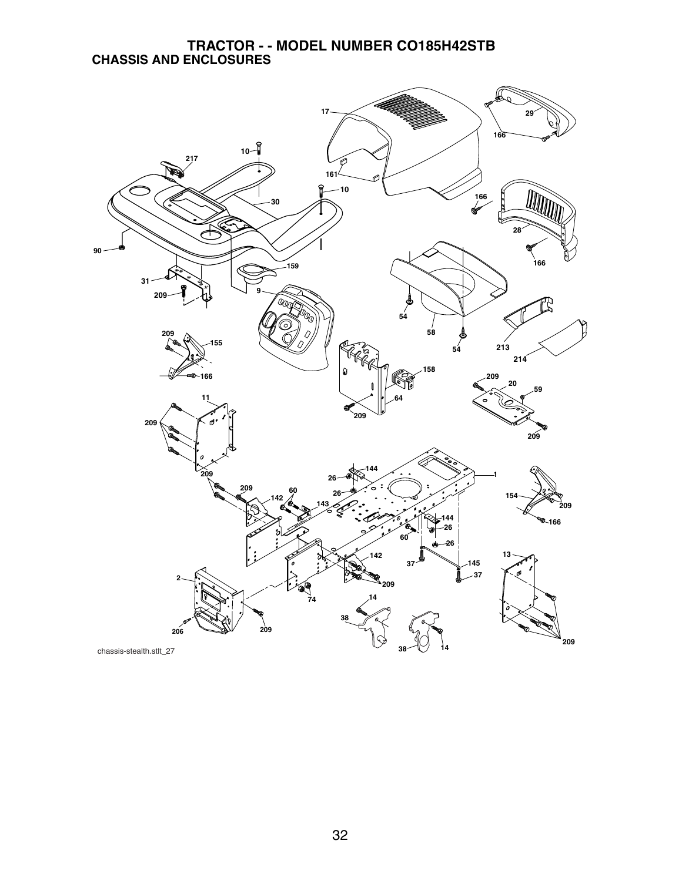#### **TRACTOR - - MODEL NUMBER CO185H42STB CHASSIS AND ENCLOSURES**

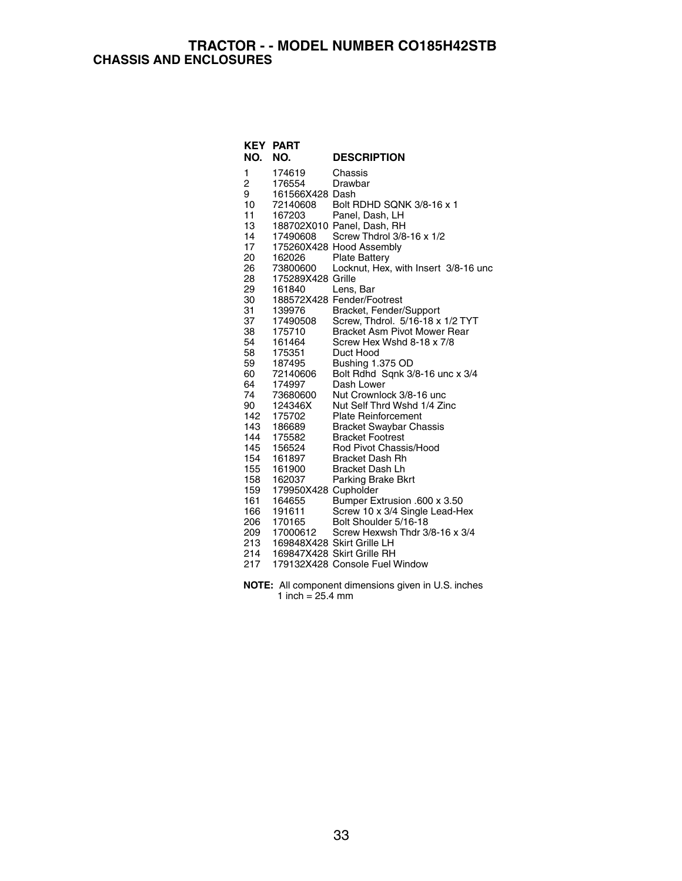#### **TRACTOR - - MODEL NUMBER CO185H42STB CHASSIS AND ENCLOSURES**

|     | <b>KEY PART</b>      |                                      |
|-----|----------------------|--------------------------------------|
| NO. | NO.                  | <b>DESCRIPTION</b>                   |
| 1   | 174619               | Chassis                              |
| 2   | 176554               | Drawbar                              |
| 9   | 161566X428 Dash      |                                      |
| 10  | 72140608             | Bolt RDHD SQNK 3/8-16 x 1            |
| 11  | 167203               | Panel, Dash, LH                      |
| 13  |                      | 188702X010 Panel, Dash, RH           |
| 14  | 17490608             | Screw Thdrol 3/8-16 x 1/2            |
| 17  |                      | 175260X428 Hood Assembly             |
| 20  | 162026               | <b>Plate Battery</b>                 |
| 26  | 73800600             | Locknut, Hex, with Insert 3/8-16 unc |
| 28  | 175289X428 Grille    |                                      |
| 29  | 161840               | Lens, Bar                            |
| 30  |                      | 188572X428 Fender/Footrest           |
| 31  | 139976               | Bracket, Fender/Support              |
| 37  | 17490508             | Screw, Thdrol. 5/16-18 x 1/2 TYT     |
| 38  | 175710               | <b>Bracket Asm Pivot Mower Rear</b>  |
| 54  | 161464               | Screw Hex Wshd 8-18 x 7/8            |
| 58  | 175351               | Duct Hood                            |
| 59  | 187495               | Bushing 1.375 OD                     |
| 60  | 72140606             | Bolt Rdhd Sqnk 3/8-16 unc x 3/4      |
| 64  | 174997               | Dash Lower                           |
| 74  | 73680600             | Nut Crownlock 3/8-16 unc             |
| 90  | 124346X              | Nut Self Thrd Wshd 1/4 Zinc          |
| 142 | 175702               | <b>Plate Reinforcement</b>           |
| 143 | 186689               | <b>Bracket Swaybar Chassis</b>       |
| 144 | 175582               | <b>Bracket Footrest</b>              |
| 145 | 156524               | Rod Pivot Chassis/Hood               |
| 154 | 161897               | <b>Bracket Dash Rh</b>               |
| 155 | 161900               | <b>Bracket Dash Lh</b>               |
| 158 | 162037               | Parking Brake Bkrt                   |
| 159 | 179950X428 Cupholder |                                      |
| 161 | 164655               | Bumper Extrusion .600 x 3.50         |
| 166 | 191611               | Screw 10 x 3/4 Single Lead-Hex       |
| 206 | 170165               | Bolt Shoulder 5/16-18                |
| 209 | 17000612             | Screw Hexwsh Thdr 3/8-16 x 3/4       |
| 213 |                      | 169848X428 Skirt Grille LH           |
| 214 |                      | 169847X428 Skirt Grille RH           |
| 217 |                      | 179132X428 Console Fuel Window       |
|     |                      |                                      |

**NOTE:** All component dimensions given in U.S. inches 1 inch = 25.4 mm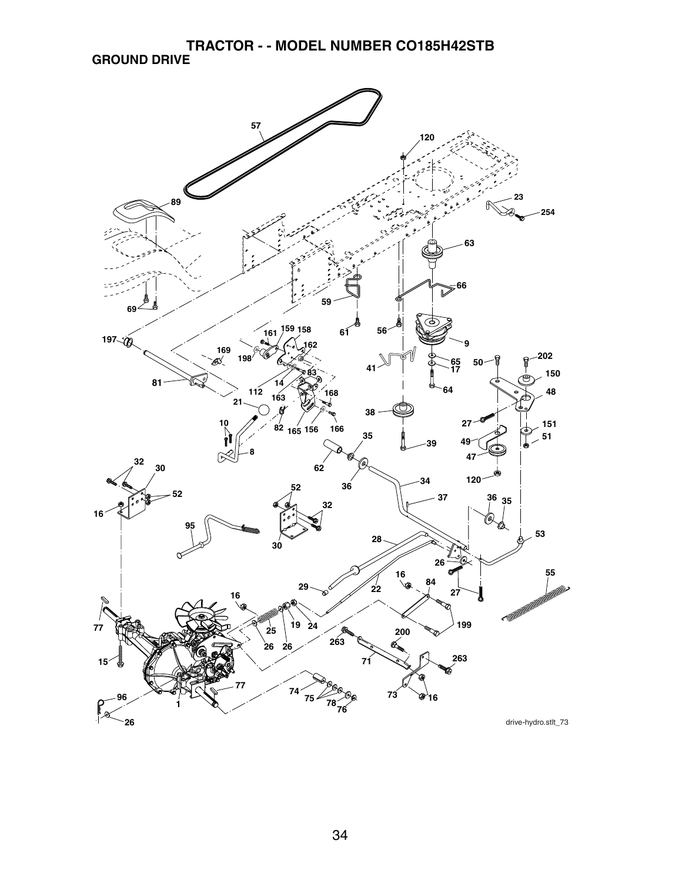**TRACTOR - - MODEL NUMBER CO185H42STB GROUND DRIVE**

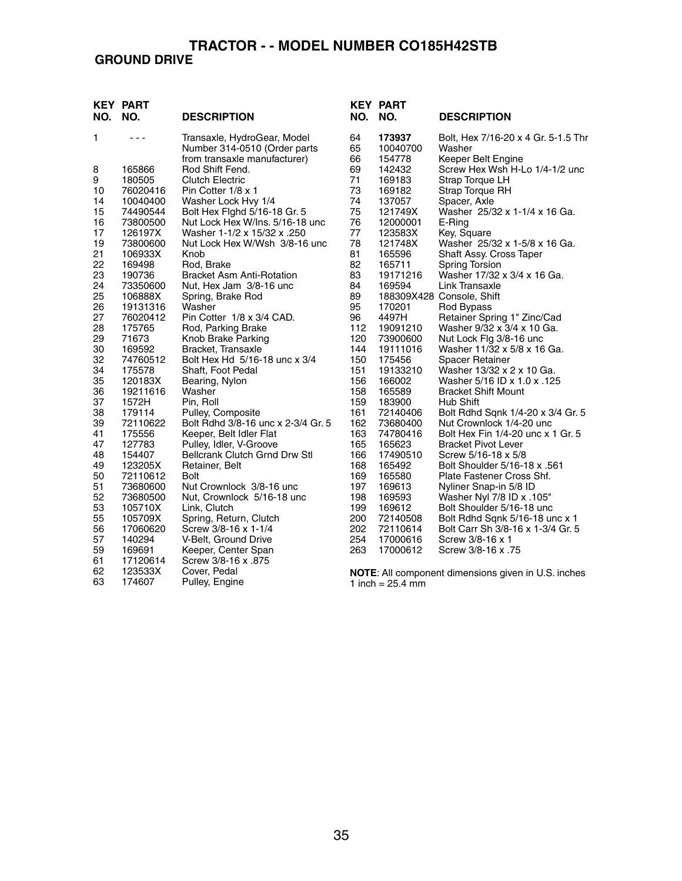#### **GROUND DRIVE**

| NO.      | <b>KEY PART</b><br>NO. | <b>DESCRIPTION</b>                                          | NO.        | <b>KEY PART</b><br>NO.     | <b>DESCRIPTION</b>                                            |
|----------|------------------------|-------------------------------------------------------------|------------|----------------------------|---------------------------------------------------------------|
| 1        | - - -                  | Transaxle, HydroGear, Model<br>Number 314-0510 (Order parts | 64<br>65   | 173937<br>10040700         | Bolt, Hex 7/16-20 x 4 Gr. 5-1.5 Thr<br>Washer                 |
|          |                        | from transaxle manufacturer)                                | 66         | 154778                     | Keeper Belt Engine                                            |
| 8        | 165866                 | Rod Shift Fend.                                             | 69         | 142432                     | Screw Hex Wsh H-Lo 1/4-1/2 unc                                |
| 9        | 180505                 | <b>Clutch Electric</b>                                      | 71         | 169183                     | Strap Torque LH                                               |
| 10       | 76020416               | Pin Cotter 1/8 x 1                                          | 73         | 169182                     | Strap Torque RH                                               |
| 14       | 10040400               | Washer Lock Hvy 1/4                                         | 74         | 137057                     | Spacer, Axle                                                  |
| 15       | 74490544               | Bolt Hex Fighd 5/16-18 Gr. 5                                | 75         | 121749X                    | Washer 25/32 x 1-1/4 x 16 Ga.                                 |
| 16       | 73800500               | Nut Lock Hex W/Ins. 5/16-18 unc                             | 76         | 12000001                   | E-Ring                                                        |
| 17       | 126197X                | Washer 1-1/2 x 15/32 x .250                                 | 77         | 123583X                    | Key, Square                                                   |
| 19       | 73800600               | Nut Lock Hex W/Wsh 3/8-16 unc                               | 78         | 121748X                    | Washer 25/32 x 1-5/8 x 16 Ga.                                 |
| 21       | 106933X                | Knob                                                        | 81         | 165596                     | Shaft Assy. Cross Taper                                       |
| 22       | 169498                 | Rod, Brake                                                  | 82         | 165711                     | <b>Spring Torsion</b>                                         |
| 23       | 190736                 | <b>Bracket Asm Anti-Rotation</b>                            | 83         | 19171216                   | Washer 17/32 x 3/4 x 16 Ga.                                   |
| 24       | 73350600               | Nut, Hex Jam 3/8-16 unc                                     | 84         | 169594                     | Link Transaxle                                                |
| 25       | 106888X                | Spring, Brake Rod                                           | 89         |                            | 188309X428 Console, Shift                                     |
| 26       | 19131316               | Washer                                                      | 95         | 170201                     | Rod Bypass                                                    |
| 27       | 76020412               | Pin Cotter 1/8 x 3/4 CAD.                                   | 96         | 4497H                      | Retainer Spring 1" Zinc/Cad                                   |
| 28       | 175765                 | Rod, Parking Brake                                          | 112        | 19091210                   | Washer 9/32 x 3/4 x 10 Ga.                                    |
| 29       | 71673                  | Knob Brake Parking                                          | 120        | 73900600                   | Nut Lock Flg 3/8-16 unc                                       |
| 30       | 169592                 | Bracket, Transaxle                                          | 144        | 19111016                   | Washer 11/32 x 5/8 x 16 Ga.                                   |
| 32       | 74760512               | Bolt Hex Hd 5/16-18 unc x 3/4                               | 150        | 175456                     | Spacer Retainer                                               |
| 34       | 175578                 | Shaft, Foot Pedal                                           | 151        | 19133210                   | Washer 13/32 x 2 x 10 Ga.                                     |
| 35       | 120183X                | Bearing, Nylon                                              | 156        | 166002                     | 125. Washer 5/16 ID x 1.0 x                                   |
| 36       | 19211616               | Washer                                                      | 158        | 165589                     | <b>Bracket Shift Mount</b>                                    |
| 37       | 1572H                  | Pin, Roll                                                   | 159        | 183900                     | <b>Hub Shift</b>                                              |
| 38       | 179114                 | Pulley, Composite<br>Bolt Rdhd 3/8-16 unc x 2-3/4 Gr. 5     | 161<br>162 | 72140406                   | Bolt Rdhd Sqnk 1/4-20 x 3/4 Gr. 5                             |
| 39<br>41 | 72110622               |                                                             | 163        | 73680400<br>74780416       | Nut Crownlock 1/4-20 unc<br>Bolt Hex Fin 1/4-20 unc x 1 Gr. 5 |
| 47       | 175556<br>127783       | Keeper, Belt Idler Flat<br>Pulley, Idler, V-Groove          | 165        | 165623                     | <b>Bracket Pivot Lever</b>                                    |
| 48       | 154407                 | Bellcrank Clutch Grnd Drw Stl                               | 166        | 17490510                   | Screw 5/16-18 x 5/8                                           |
| 49       | 123205X                | Retainer, Belt                                              | 168        | 165492                     | Bolt Shoulder 5/16-18 x .561                                  |
| 50       | 72110612               | Bolt                                                        | 169        | 165580                     | Plate Fastener Cross Shf.                                     |
| 51       | 73680600               | Nut Crownlock 3/8-16 unc                                    | 197        | 169613                     | Nyliner Snap-in 5/8 ID                                        |
| 52       | 73680500               | Nut, Crownlock 5/16-18 unc                                  | 198        | 169593                     | Washer Nyl 7/8 ID x .105"                                     |
| 53       | 105710X                | Link, Clutch                                                | 199        | 169612                     | Bolt Shoulder 5/16-18 unc                                     |
| 55       | 105709X                | Spring, Return, Clutch                                      | 200        | 72140508                   | Bolt Rdhd Sqnk 5/16-18 unc x 1                                |
| 56       | 17060620               | Screw 3/8-16 x 1-1/4                                        | 202        | 72110614                   | Bolt Carr Sh 3/8-16 x 1-3/4 Gr. 5                             |
| 57       | 140294                 | V-Belt, Ground Drive                                        | 254        | 17000616                   | Screw 3/8-16 x 1                                              |
| 59       | 169691                 | Keeper, Center Span                                         | 263        | 17000612                   | Screw 3/8-16 x .75                                            |
| 61       | 17120614               | Screw 3/8-16 x .875                                         |            |                            |                                                               |
| 62       | 123533X                | Cover, Pedal                                                |            |                            | <b>NOTE:</b> All component dimensions given in U.S. inches    |
| 63       | 174607                 | Pulley, Engine                                              |            | 1 inch = $25.4 \text{ mm}$ |                                                               |

35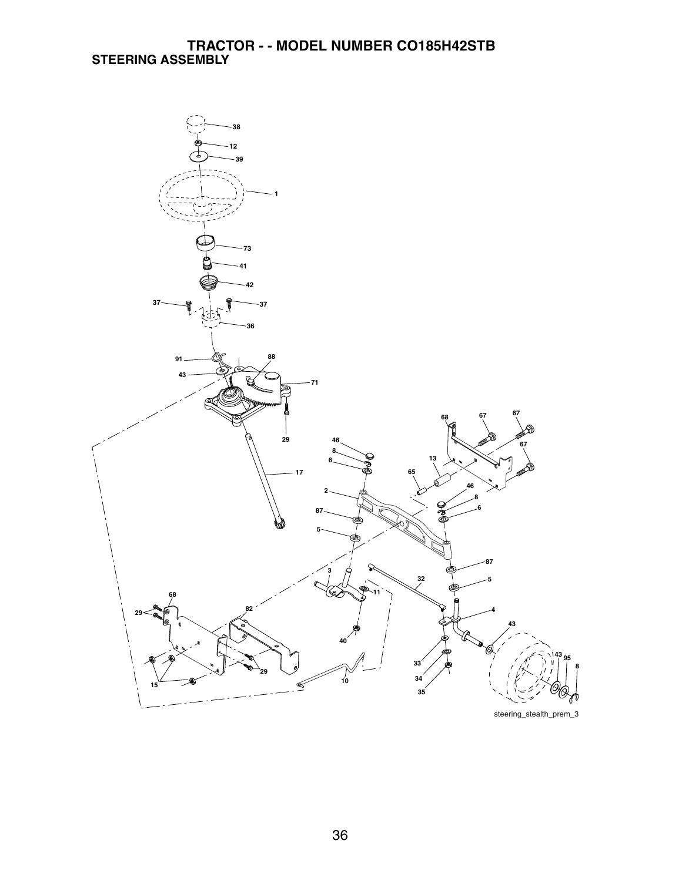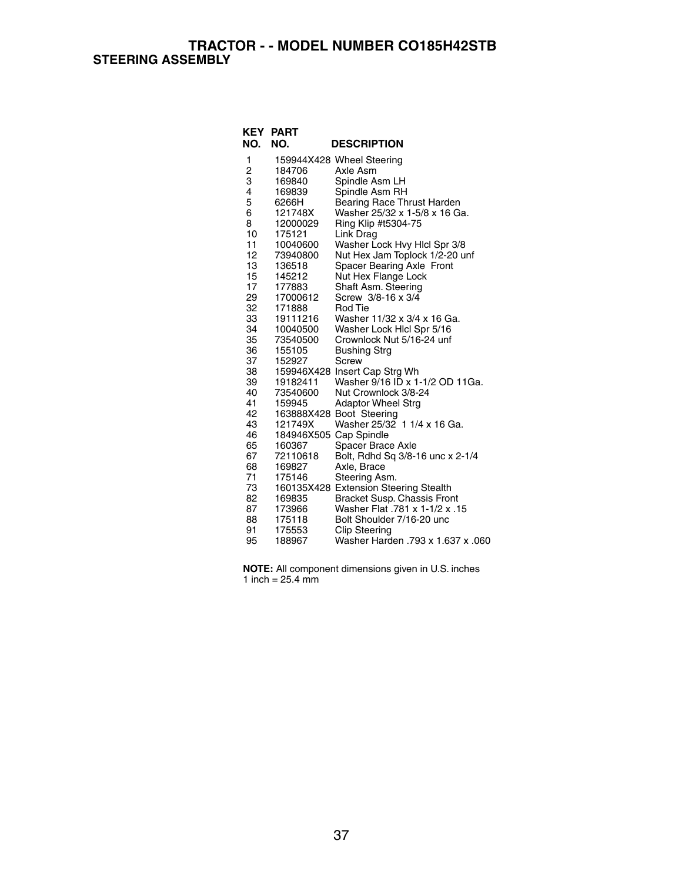**TRACTOR - - MODEL NUMBER CO185H42STB STEERING ASSEMBLY**

| NO.            | <b>KEY PART</b><br>NO.           | <b>DESCRIPTION</b>                                    |
|----------------|----------------------------------|-------------------------------------------------------|
| 1              |                                  | 159944X428 Wheel Steering                             |
| $\overline{c}$ | 184706                           | Axle Asm                                              |
| 3              | 169840                           | Spindle Asm LH                                        |
| 4              | 169839                           | Spindle Asm RH                                        |
| 5              | 6266H                            | Bearing Race Thrust Harden                            |
| 6              | 121748X                          | Washer 25/32 x 1-5/8 x 16 Ga.                         |
| 8              | 12000029                         | Ring Klip #t5304-75                                   |
| 10             | 175121                           | Link Drag                                             |
| 11             | 10040600                         | Washer Lock Hvy Hicl Spr 3/8                          |
| 12             | 73940800                         | Nut Hex Jam Toplock 1/2-20 unf                        |
| 13             | 136518                           | Spacer Bearing Axle Front                             |
| 15             | 145212                           | Nut Hex Flange Lock                                   |
| 17             | 177883                           | Shaft Asm. Steering                                   |
| 29             | 17000612                         | Screw 3/8-16 x 3/4                                    |
| 32             | 171888                           | Rod Tie                                               |
| 33             | 19111216                         | Washer 11/32 x 3/4 x 16 Ga.                           |
| 34             | 10040500                         | Washer Lock Hicl Spr 5/16                             |
| 35             | 73540500                         | Crownlock Nut 5/16-24 unf                             |
| 36             | 155105                           | <b>Bushing Strg</b>                                   |
| 37             | 152927                           | Screw                                                 |
| 38             |                                  | 159946X428 Insert Cap Strg Wh                         |
| 39             | 19182411                         | Washer 9/16 ID x 1-1/2 OD 11Ga.                       |
| 40             | 73540600                         | Nut Crownlock 3/8-24                                  |
| 41             | 159945                           | <b>Adaptor Wheel Strg</b>                             |
| 42             |                                  | 163888X428 Boot Steering                              |
| 43<br>46       | 121749X                          | Washer 25/32 1 1/4 x 16 Ga.                           |
| 65             | 184946X505 Cap Spindle<br>160367 |                                                       |
| 67             | 72110618                         | Spacer Brace Axle<br>Bolt, Rdhd Sq 3/8-16 unc x 2-1/4 |
| 68             | 169827                           | Axle, Brace                                           |
| 71             | 175146                           | Steering Asm.                                         |
| 73             |                                  | 160135X428 Extension Steering Stealth                 |
| 82             | 169835                           | Bracket Susp. Chassis Front                           |
| 87             | 173966                           | 15. Washer Flat .781 x 1-1/2 x                        |
| 88             | 175118                           | Bolt Shoulder 7/16-20 unc                             |
| 91             | 175553                           | <b>Clip Steering</b>                                  |
| 95             | 188967                           | Washer Harden .793 x 1.637 x .060                     |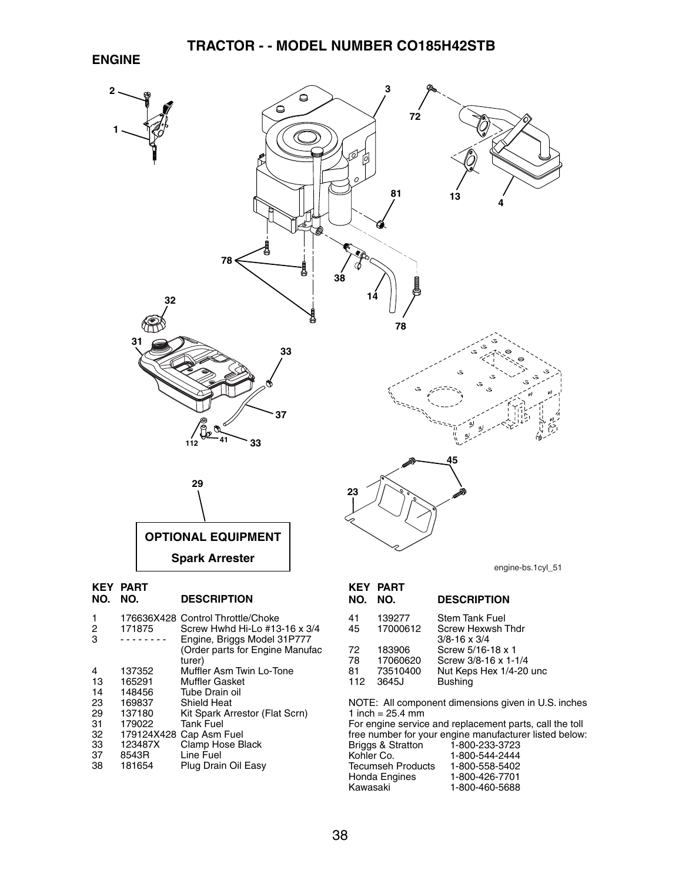#### **ENGINE**



- turer)<br>4 137352 Muffle 4 137352 Muffler Asm Twin Lo-Tone<br>13 165291 Muffler Gasket
- 165291 Muffler Gasket<br>148456 Tube Drain oil
- 14 148456 Tube Drain oil<br>23 169837 Shield Heat
- 23 169837 Shield Heat
- 29 137180 Kit Spark Arrestor (Flat Scrn)<br>31 179022 Tank Fuel
- 31 179022 Tank Fuel<br>32 179124X428 Cap Asm
- 32 179124X428 Cap Asm Fuel<br>33 123487X Clamp Hose B
- 33 123487X Clamp Hose Black<br>37 8543R Line Fuel
- 37 8543R Line Fuel Plug Drain Oil Easy

| NO.                   | NO.                                     | <b>DESCRIPTION</b>                                                                     |
|-----------------------|-----------------------------------------|----------------------------------------------------------------------------------------|
| 41<br>45              | 139277<br>17000612                      | <b>Stem Tank Fuel</b><br>Screw Hexwsh Thdr<br>$3/8 - 16 \times 3/4$                    |
| 72<br>78<br>81<br>112 | 183906<br>17060620<br>73510400<br>3645J | Screw 5/16-18 x 1<br>Screw 3/8-16 x 1-1/4<br>Nut Keps Hex 1/4-20 unc<br><b>Bushing</b> |

NOTE: All component dimensions given in U.S. inches 1 inch =  $25.4 \, \text{mm}$ 

For engine service and replacement parts, call the toll free number for your engine manufacturer listed below: Briggs & Stratton<br>Kohler Co. 1-800-544-2444<br>1-800-558-5402 Tecumseh Products<br>Honda Engines Honda Engines 1-800-426-7701 1-800-460-5688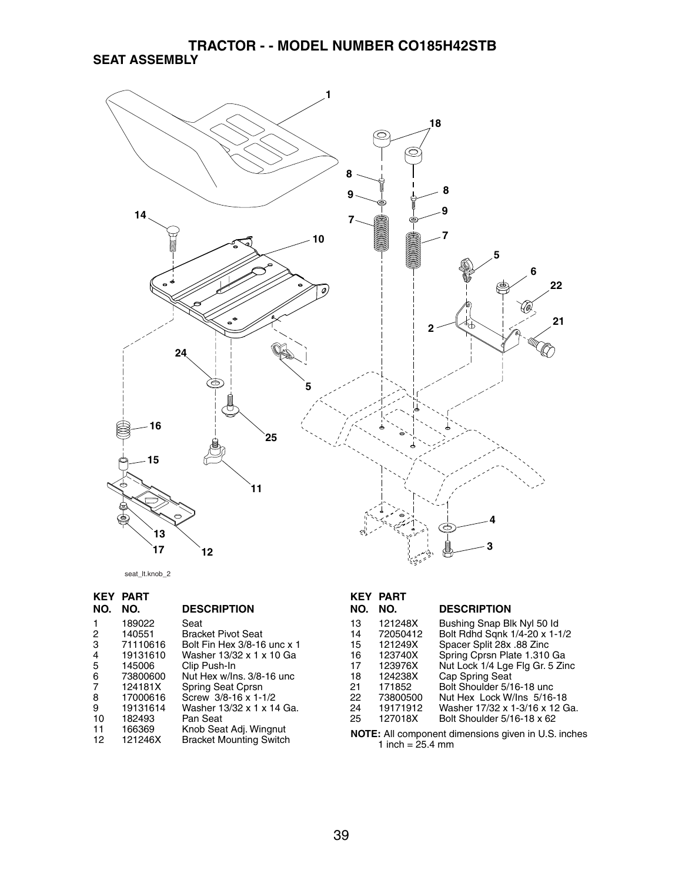#### **TRACTOR - - MODEL NUMBER CO185H42STB SEAT ASSEMBLY**



seat\_lt.knob\_2

| KEY            | <b>PART</b> |                                |
|----------------|-------------|--------------------------------|
| NO.            | NO.         | <b>DESCRIPTION</b>             |
|                | 189022      | Seat                           |
| 2              | 140551      | <b>Bracket Pivot Seat</b>      |
| 3              | 71110616    | Bolt Fin Hex 3/8-16 unc x 1    |
| 4              | 19131610    | Washer 13/32 x 1 x 10 Ga       |
| 5              | 145006      | Clip Push-In                   |
| 6              | 73800600    | Nut Hex w/Ins. 3/8-16 unc      |
| $\overline{7}$ | 124181X     | Spring Seat Cprsn              |
| 8              | 17000616    | Screw 3/8-16 x 1-1/2           |
| 9              | 19131614    | Washer 13/32 x 1 x 14 Ga.      |
| 10             | 182493      | Pan Seat                       |
| 11             | 166369      | Knob Seat Adj. Wingnut         |
| 12             | 121246X     | <b>Bracket Mounting Switch</b> |

### **KEY PART**

| NO. | NO.      | <b>DESCRIPTION</b>              |
|-----|----------|---------------------------------|
| 13  | 121248X  | Bushing Snap Blk Nyl 50 ld      |
| 14  | 72050412 | Bolt Rdhd Sqnk 1/4-20 x 1-1/2   |
| 15  | 121249X  | Spacer Split 28x .88 Zinc       |
| 16  | 123740X  | Spring Cprsn Plate 1.310 Ga     |
| 17  | 123976X  | Nut Lock 1/4 Lge Flg Gr. 5 Zinc |
| 18  | 124238X  | Cap Spring Seat                 |
| 21  | 171852   | Bolt Shoulder 5/16-18 unc       |
| 22  | 73800500 | Nut Hex Lock W/Ins 5/16-18      |
| 24  | 19171912 | Washer 17/32 x 1-3/16 x 12 Ga.  |
| 25  | 127018X  | Bolt Shoulder 5/16-18 x 62      |
|     |          |                                 |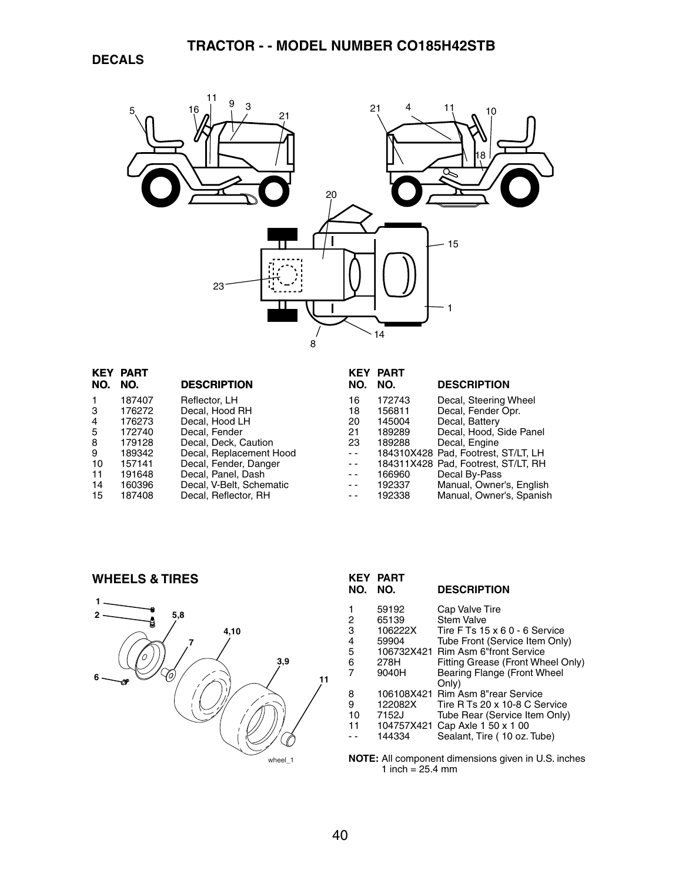

| <b>KEY</b> | <b>PART</b> |                          | KEY  | <b>PART</b> |                                     |
|------------|-------------|--------------------------|------|-------------|-------------------------------------|
| NO.        | NO.         | <b>DESCRIPTION</b>       | NO.  | NO.         | <b>DESCRIPTION</b>                  |
|            | 187407      | Reflector, LH            | 16   | 172743      | Decal, Steering Wheel               |
| 3          | 176272      | Decal, Hood RH           | 18   | 156811      | Decal, Fender Opr.                  |
| 4          | 176273      | Decal, Hood LH           | 20   | 145004      | Decal, Battery                      |
| 5          | 172740      | Decal, Fender            | 21   | 189289      | Decal, Hood, Side Panel             |
| 8          | 179128      | Decal, Deck, Caution     | 23   | 189288      | Decal, Engine                       |
| 9          | 189342      | Decal, Replacement Hood  | $ -$ |             | 184310X428 Pad. Footrest. ST/LT. LH |
| 10         | 157141      | Decal, Fender, Danger    | $ -$ |             | 184311X428 Pad, Footrest, ST/LT, RH |
| 11         | 191648      | Decal, Panel, Dash       | $ -$ | 166960      | Decal By-Pass                       |
| 14         | 160396      | Decal, V-Belt, Schematic | $ -$ | 192337      | Manual, Owner's, English            |
| 15         | 187408      | Decal, Reflector, RH     | - -  | 192338      | Manual, Owner's, Spanish            |
|            |             |                          |      |             |                                     |

**WHEELS & TIRES**



| KEY<br>NO.                 | <b>PART</b><br>NO.                                  | <b>DESCRIPTION</b>                                                                                                                                                                                               |
|----------------------------|-----------------------------------------------------|------------------------------------------------------------------------------------------------------------------------------------------------------------------------------------------------------------------|
| 2<br>3<br>4<br>5<br>6<br>7 | 59192<br>65139<br>106222X<br>59904<br>278H<br>9040H | Cap Valve Tire<br>Stem Valve<br>Tire F Ts $15 \times 60 - 6$ Service<br>Tube Front (Service Item Only)<br>106732X421 Rim Asm 6"front Service<br>Fitting Grease (Front Wheel Only)<br>Bearing Flange (Front Wheel |
| 8<br>9<br>10<br>11         | 122082X<br>7152J<br>144334                          | Only)<br>106108X421 Rim Asm 8"rear Service<br>Tire R Ts 20 x 10-8 C Service<br>Tube Rear (Service Item Only)<br>104757X421 Cap Axle 1 50 x 1 00<br>Sealant, Tire (10 oz. Tube)                                   |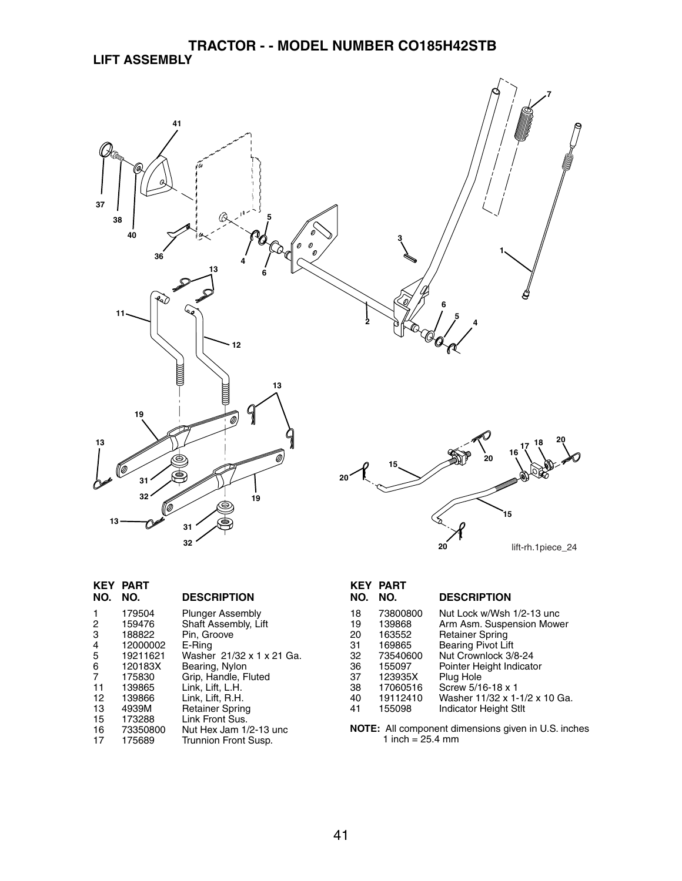#### **TRACTOR - - MODEL NUMBER CO185H42STB LIFT ASSEMBLY**



|                | <b>KEY PART</b> |                           |
|----------------|-----------------|---------------------------|
| NO.            | NO.             | <b>DESCRIPTION</b>        |
| 1              | 179504          | <b>Plunger Assembly</b>   |
| 2              | 159476          | Shaft Assembly, Lift      |
| 3              | 188822          | Pin, Groove               |
| 4              | 12000002        | E-Ring                    |
| 5              | 19211621        | Washer 21/32 x 1 x 21 Ga. |
| 6              | 120183X         | Bearing, Nylon            |
| $\overline{7}$ | 175830          | Grip, Handle, Fluted      |
| 11             | 139865          | Link, Lift, L.H.          |
| 12             | 139866          | Link, Lift, R.H.          |
| 13             | 4939M           | <b>Retainer Spring</b>    |
| 15             | 173288          | Link Front Sus.           |
| 16             | 73350800        | Nut Hex Jam 1/2-13 unc    |
| 17             | 175689          | Trunnion Front Susp.      |

# **KEY PART**

#### **NO. NO. DESCRIPTION**

| 18 | 73800800 | Nut Lock w/Wsh 1/2-13 unc     |
|----|----------|-------------------------------|
| 19 | 139868   | Arm Asm. Suspension Mower     |
| 20 | 163552   | <b>Retainer Spring</b>        |
| 31 | 169865   | <b>Bearing Pivot Lift</b>     |
| 32 | 73540600 | Nut Crownlock 3/8-24          |
| 36 | 155097   | Pointer Height Indicator      |
| 37 | 123935X  | Plug Hole                     |
| 38 | 17060516 | Screw 5/16-18 x 1             |
| 40 | 19112410 | Washer 11/32 x 1-1/2 x 10 Ga. |
| 41 | 155098   | <b>Indicator Height Stlt</b>  |
|    |          |                               |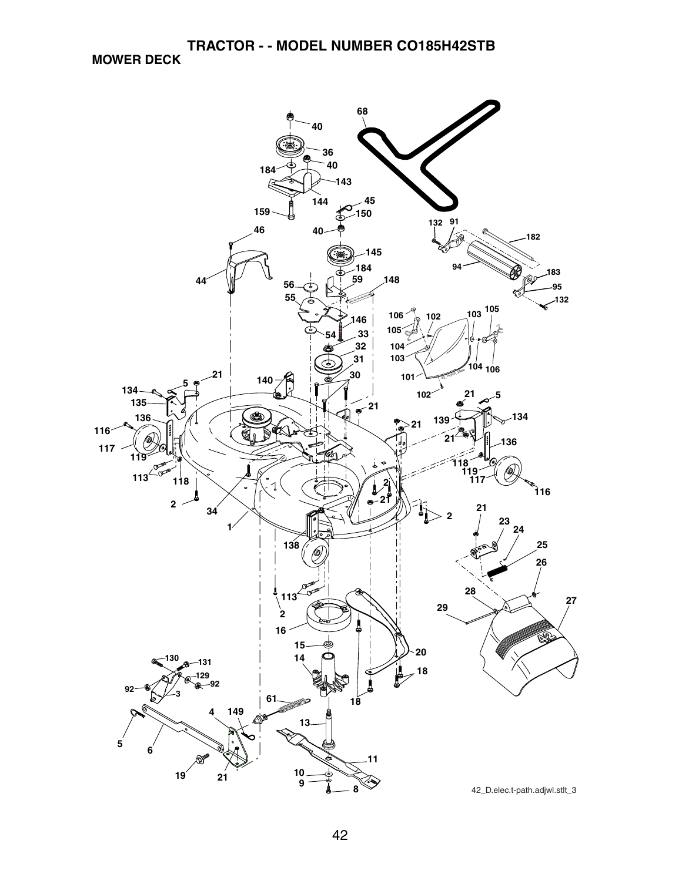**TRACTOR - - MODEL NUMBER CO185H42STB**

**MOWER DECK**